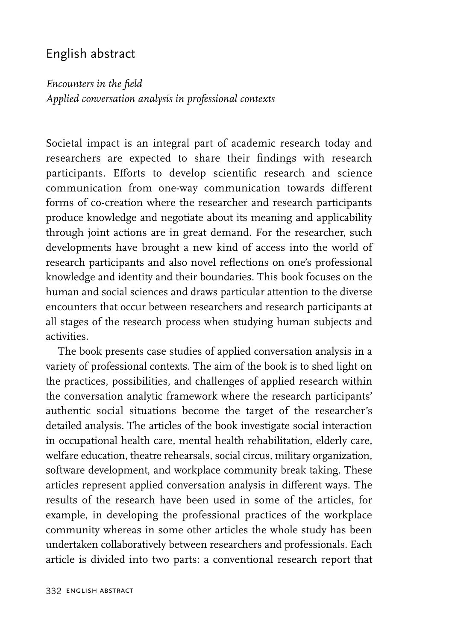## English abstract

*Encounters in the field*

*Applied conversation analysis in professional contexts*

Societal impact is an integral part of academic research today and researchers are expected to share their findings with research participants. Efforts to develop scientific research and science communication from one-way communication towards different forms of co-creation where the researcher and research participants produce knowledge and negotiate about its meaning and applicability through joint actions are in great demand. For the researcher, such developments have brought a new kind of access into the world of research participants and also novel reflections on one's professional knowledge and identity and their boundaries. This book focuses on the human and social sciences and draws particular attention to the diverse encounters that occur between researchers and research participants at all stages of the research process when studying human subjects and activities.

The book presents case studies of applied conversation analysis in a variety of professional contexts. The aim of the book is to shed light on the practices, possibilities, and challenges of applied research within the conversation analytic framework where the research participants' authentic social situations become the target of the researcher's detailed analysis. The articles of the book investigate social interaction in occupational health care, mental health rehabilitation, elderly care, welfare education, theatre rehearsals, social circus, military organization, software development, and workplace community break taking. These articles represent applied conversation analysis in different ways. The results of the research have been used in some of the articles, for example, in developing the professional practices of the workplace community whereas in some other articles the whole study has been undertaken collaboratively between researchers and professionals. Each article is divided into two parts: a conventional research report that